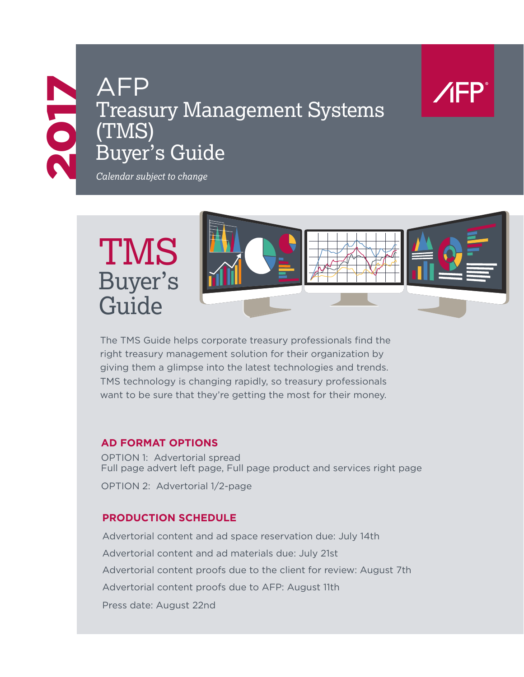# AFP<br>Treasy<br>(TMS)<br>Buyer Treasury Management Systems (TMS) Buyer's Guide



*Calendar subject to change*



The TMS Guide helps corporate treasury professionals find the right treasury management solution for their organization by giving them a glimpse into the latest technologies and trends. TMS technology is changing rapidly, so treasury professionals want to be sure that they're getting the most for their money.

#### **AD FORMAT OPTIONS**

OPTION 1: Advertorial spread Full page advert left page, Full page product and services right page OPTION 2: Advertorial 1/2-page

#### **PRODUCTION SCHEDULE**

Advertorial content and ad space reservation due: July 14th Advertorial content and ad materials due: July 21st Advertorial content proofs due to the client for review: August 7th Advertorial content proofs due to AFP: August 11th Press date: August 22nd